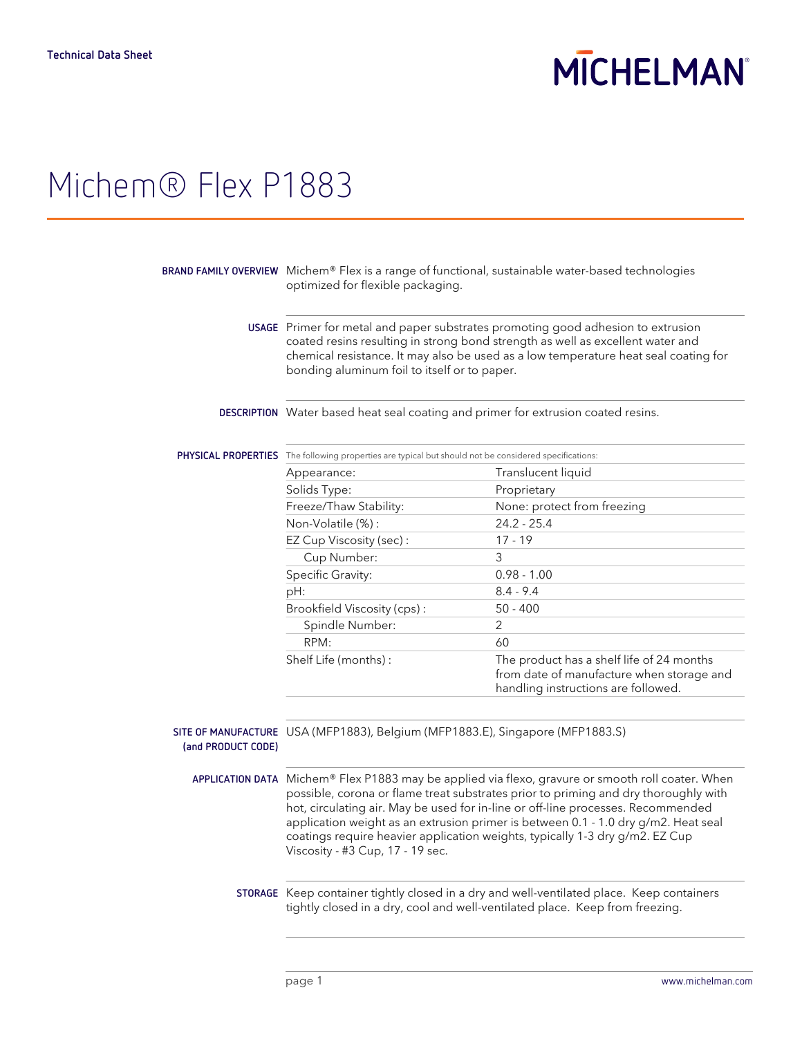# **MICHELMAN**

## Michem® Flex P1883

|                    | BRAND FAMILY OVERVIEW Michem® Flex is a range of functional, sustainable water-based technologies<br>optimized for flexible packaging.<br>USAGE Primer for metal and paper substrates promoting good adhesion to extrusion<br>coated resins resulting in strong bond strength as well as excellent water and<br>chemical resistance. It may also be used as a low temperature heat seal coating for<br>bonding aluminum foil to itself or to paper.                                    |                                                                                                                               |  |
|--------------------|----------------------------------------------------------------------------------------------------------------------------------------------------------------------------------------------------------------------------------------------------------------------------------------------------------------------------------------------------------------------------------------------------------------------------------------------------------------------------------------|-------------------------------------------------------------------------------------------------------------------------------|--|
|                    |                                                                                                                                                                                                                                                                                                                                                                                                                                                                                        |                                                                                                                               |  |
|                    | DESCRIPTION Water based heat seal coating and primer for extrusion coated resins.                                                                                                                                                                                                                                                                                                                                                                                                      |                                                                                                                               |  |
|                    | <b>PHYSICAL PROPERTIES</b> The following properties are typical but should not be considered specifications:                                                                                                                                                                                                                                                                                                                                                                           |                                                                                                                               |  |
|                    | Appearance:                                                                                                                                                                                                                                                                                                                                                                                                                                                                            | Translucent liquid                                                                                                            |  |
|                    | Solids Type:                                                                                                                                                                                                                                                                                                                                                                                                                                                                           | Proprietary                                                                                                                   |  |
|                    | Freeze/Thaw Stability:                                                                                                                                                                                                                                                                                                                                                                                                                                                                 | None: protect from freezing                                                                                                   |  |
|                    | Non-Volatile (%):                                                                                                                                                                                                                                                                                                                                                                                                                                                                      | $24.2 - 25.4$                                                                                                                 |  |
|                    | EZ Cup Viscosity (sec):                                                                                                                                                                                                                                                                                                                                                                                                                                                                | $17 - 19$                                                                                                                     |  |
|                    | Cup Number:                                                                                                                                                                                                                                                                                                                                                                                                                                                                            | 3                                                                                                                             |  |
|                    | Specific Gravity:                                                                                                                                                                                                                                                                                                                                                                                                                                                                      | $0.98 - 1.00$                                                                                                                 |  |
|                    | pH:                                                                                                                                                                                                                                                                                                                                                                                                                                                                                    | $8.4 - 9.4$                                                                                                                   |  |
|                    | Brookfield Viscosity (cps):                                                                                                                                                                                                                                                                                                                                                                                                                                                            | $50 - 400$                                                                                                                    |  |
|                    | Spindle Number:                                                                                                                                                                                                                                                                                                                                                                                                                                                                        | 2                                                                                                                             |  |
|                    | RPM:                                                                                                                                                                                                                                                                                                                                                                                                                                                                                   | 60                                                                                                                            |  |
|                    | Shelf Life (months):                                                                                                                                                                                                                                                                                                                                                                                                                                                                   | The product has a shelf life of 24 months<br>from date of manufacture when storage and<br>handling instructions are followed. |  |
| (and PRODUCT CODE) | SITE OF MANUFACTURE USA (MFP1883), Belgium (MFP1883.E), Singapore (MFP1883.S)                                                                                                                                                                                                                                                                                                                                                                                                          |                                                                                                                               |  |
|                    | APPLICATION DATA Michem® Flex P1883 may be applied via flexo, gravure or smooth roll coater. When<br>possible, corona or flame treat substrates prior to priming and dry thoroughly with<br>hot, circulating air. May be used for in-line or off-line processes. Recommended<br>application weight as an extrusion primer is between 0.1 - 1.0 dry g/m2. Heat seal<br>coatings require heavier application weights, typically 1-3 dry g/m2. EZ Cup<br>Viscosity - #3 Cup, 17 - 19 sec. |                                                                                                                               |  |
|                    | STORAGE Keep container tightly closed in a dry and well-ventilated place. Keep containers<br>tightly closed in a dry, cool and well-ventilated place. Keep from freezing.                                                                                                                                                                                                                                                                                                              |                                                                                                                               |  |